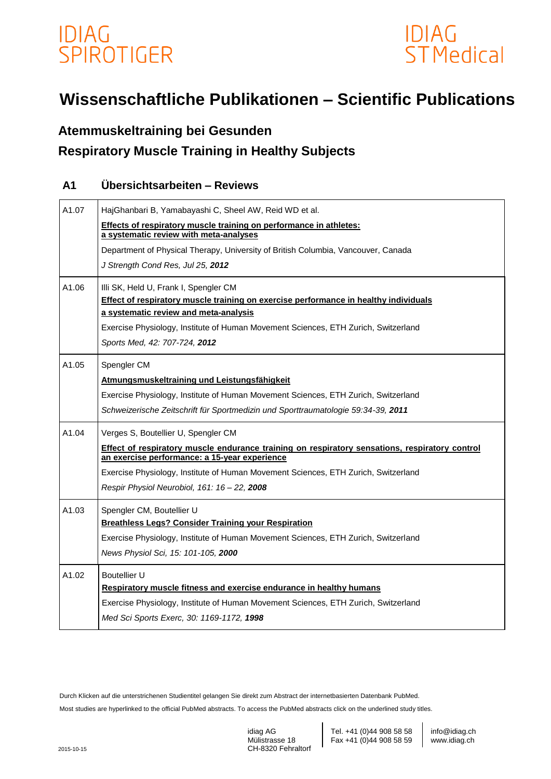



# **Wissenschaftliche Publikationen – Scientific Publications**

## **Atemmuskeltraining bei Gesunden Respiratory Muscle Training in Healthy Subjects**

### **A1 Übersichtsarbeiten – Reviews**

| A1.07 | HajGhanbari B, Yamabayashi C, Sheel AW, Reid WD et al.                                                                                          |
|-------|-------------------------------------------------------------------------------------------------------------------------------------------------|
|       | Effects of respiratory muscle training on performance in athletes:                                                                              |
|       | a systematic review with meta-analyses                                                                                                          |
|       | Department of Physical Therapy, University of British Columbia, Vancouver, Canada                                                               |
|       | J Strength Cond Res, Jul 25, 2012                                                                                                               |
| A1.06 | Illi SK, Held U, Frank I, Spengler CM                                                                                                           |
|       | Effect of respiratory muscle training on exercise performance in healthy individuals                                                            |
|       | a systematic review and meta-analysis                                                                                                           |
|       | Exercise Physiology, Institute of Human Movement Sciences, ETH Zurich, Switzerland                                                              |
|       | Sports Med, 42: 707-724, 2012                                                                                                                   |
| A1.05 | Spengler CM                                                                                                                                     |
|       | Atmungsmuskeltraining und Leistungsfähigkeit                                                                                                    |
|       | Exercise Physiology, Institute of Human Movement Sciences, ETH Zurich, Switzerland                                                              |
|       | Schweizerische Zeitschrift für Sportmedizin und Sporttraumatologie 59:34-39, 2011                                                               |
| A1.04 | Verges S, Boutellier U, Spengler CM                                                                                                             |
|       | Effect of respiratory muscle endurance training on respiratory sensations, respiratory control<br>an exercise performance: a 15-year experience |
|       | Exercise Physiology, Institute of Human Movement Sciences, ETH Zurich, Switzerland                                                              |
|       | Respir Physiol Neurobiol, 161: 16 - 22, 2008                                                                                                    |
| A1.03 | Spengler CM, Boutellier U                                                                                                                       |
|       | <b>Breathless Legs? Consider Training your Respiration</b>                                                                                      |
|       | Exercise Physiology, Institute of Human Movement Sciences, ETH Zurich, Switzerland                                                              |
|       | News Physiol Sci, 15: 101-105, 2000                                                                                                             |
| A1.02 | Boutellier U                                                                                                                                    |
|       | Respiratory muscle fitness and exercise endurance in healthy humans                                                                             |
|       | Exercise Physiology, Institute of Human Movement Sciences, ETH Zurich, Switzerland                                                              |
|       | Med Sci Sports Exerc, 30: 1169-1172, 1998                                                                                                       |
|       |                                                                                                                                                 |

Durch Klicken auf die unterstrichenen Studientitel gelangen Sie direkt zum Abstract der internetbasierten Datenbank PubMed.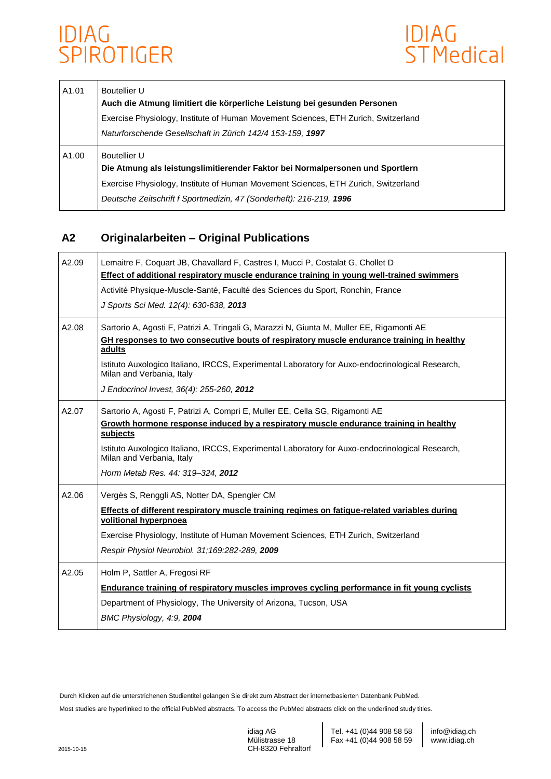

| A1.01 | Boutellier U<br>Auch die Atmung limitiert die körperliche Leistung bei gesunden Personen<br>Exercise Physiology, Institute of Human Movement Sciences, ETH Zurich, Switzerland<br>Naturforschende Gesellschaft in Zürich 142/4 153-159, 1997               |
|-------|------------------------------------------------------------------------------------------------------------------------------------------------------------------------------------------------------------------------------------------------------------|
| A1.00 | Boutellier U<br>Die Atmung als leistungslimitierender Faktor bei Normalpersonen und Sportlern<br>Exercise Physiology, Institute of Human Movement Sciences, ETH Zurich, Switzerland<br>Deutsche Zeitschrift f Sportmedizin, 47 (Sonderheft): 216-219, 1996 |

### **A2 Originalarbeiten – Original Publications**

| A2.09 | Lemaitre F, Coquart JB, Chavallard F, Castres I, Mucci P, Costalat G, Chollet D<br>Effect of additional respiratory muscle endurance training in young well-trained swimmers<br>Activité Physique-Muscle-Santé, Faculté des Sciences du Sport, Ronchin, France<br>J Sports Sci Med. 12(4): 630-638, 2013                                                                       |
|-------|--------------------------------------------------------------------------------------------------------------------------------------------------------------------------------------------------------------------------------------------------------------------------------------------------------------------------------------------------------------------------------|
| A2.08 | Sartorio A, Agosti F, Patrizi A, Tringali G, Marazzi N, Giunta M, Muller EE, Rigamonti AE<br>GH responses to two consecutive bouts of respiratory muscle endurance training in healthy<br>adults<br>Istituto Auxologico Italiano, IRCCS, Experimental Laboratory for Auxo-endocrinological Research,<br>Milan and Verbania, Italy<br>J Endocrinol Invest, 36(4): 255-260, 2012 |
| A2.07 | Sartorio A, Agosti F, Patrizi A, Compri E, Muller EE, Cella SG, Rigamonti AE<br>Growth hormone response induced by a respiratory muscle endurance training in healthy<br>subjects<br>Istituto Auxologico Italiano, IRCCS, Experimental Laboratory for Auxo-endocrinological Research,<br>Milan and Verbania, Italy<br>Horm Metab Res. 44: 319-324, 2012                        |
| A2.06 | Vergès S, Renggli AS, Notter DA, Spengler CM<br>Effects of different respiratory muscle training regimes on fatigue-related variables during<br>volitional hyperpnoea<br>Exercise Physiology, Institute of Human Movement Sciences, ETH Zurich, Switzerland<br>Respir Physiol Neurobiol. 31;169:282-289, 2009                                                                  |
| A2.05 | Holm P, Sattler A, Fregosi RF<br>Endurance training of respiratory muscles improves cycling performance in fit young cyclists<br>Department of Physiology, The University of Arizona, Tucson, USA<br>BMC Physiology, 4:9, 2004                                                                                                                                                 |

Durch Klicken auf die unterstrichenen Studientitel gelangen Sie direkt zum Abstract der internetbasierten Datenbank PubMed.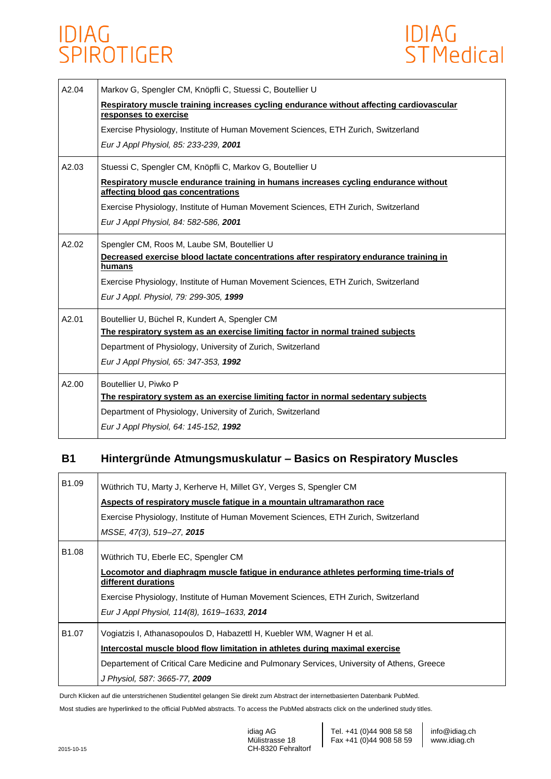

| A2.04 | Markov G, Spengler CM, Knöpfli C, Stuessi C, Boutellier U<br>Respiratory muscle training increases cycling endurance without affecting cardiovascular<br>responses to exercise<br>Exercise Physiology, Institute of Human Movement Sciences, ETH Zurich, Switzerland<br>Eur J Appl Physiol, 85: 233-239, 2001         |
|-------|-----------------------------------------------------------------------------------------------------------------------------------------------------------------------------------------------------------------------------------------------------------------------------------------------------------------------|
| A2.03 | Stuessi C, Spengler CM, Knöpfli C, Markov G, Boutellier U<br>Respiratory muscle endurance training in humans increases cycling endurance without<br>affecting blood gas concentrations<br>Exercise Physiology, Institute of Human Movement Sciences, ETH Zurich, Switzerland<br>Eur J Appl Physiol, 84: 582-586, 2001 |
| A2.02 | Spengler CM, Roos M, Laube SM, Boutellier U<br>Decreased exercise blood lactate concentrations after respiratory endurance training in<br>humans<br>Exercise Physiology, Institute of Human Movement Sciences, ETH Zurich, Switzerland<br>Eur J Appl. Physiol, 79: 299-305, 1999                                      |
| A2.01 | Boutellier U, Büchel R, Kundert A, Spengler CM<br>The respiratory system as an exercise limiting factor in normal trained subjects<br>Department of Physiology, University of Zurich, Switzerland<br>Eur J Appl Physiol, 65: 347-353, 1992                                                                            |
| A2.00 | Boutellier U, Piwko P<br>The respiratory system as an exercise limiting factor in normal sedentary subjects<br>Department of Physiology, University of Zurich, Switzerland<br>Eur J Appl Physiol, 64: 145-152, 1992                                                                                                   |

### **B1 Hintergründe Atmungsmuskulatur – Basics on Respiratory Muscles**

| B1.09             | Wüthrich TU, Marty J, Kerherve H, Millet GY, Verges S, Spengler CM<br>Aspects of respiratory muscle fatigue in a mountain ultramarathon race |
|-------------------|----------------------------------------------------------------------------------------------------------------------------------------------|
|                   | Exercise Physiology, Institute of Human Movement Sciences, ETH Zurich, Switzerland                                                           |
|                   | MSSE, 47(3), 519–27, 2015                                                                                                                    |
| B1.08             | Wüthrich TU, Eberle EC, Spengler CM                                                                                                          |
|                   | Locomotor and diaphragm muscle fatigue in endurance athletes performing time-trials of                                                       |
|                   | Exercise Physiology, Institute of Human Movement Sciences, ETH Zurich, Switzerland                                                           |
|                   | Eur J Appl Physiol, 114(8), 1619–1633, 2014                                                                                                  |
| B <sub>1.07</sub> | Vogiatzis I, Athanasopoulos D, Habazettl H, Kuebler WM, Wagner H et al.                                                                      |
|                   | Intercostal muscle blood flow limitation in athletes during maximal exercise                                                                 |
|                   | Departement of Critical Care Medicine and Pulmonary Services, University of Athens, Greece                                                   |
|                   | J Physiol, 587: 3665-77, 2009                                                                                                                |
|                   | different durations                                                                                                                          |

Durch Klicken auf die unterstrichenen Studientitel gelangen Sie direkt zum Abstract der internetbasierten Datenbank PubMed.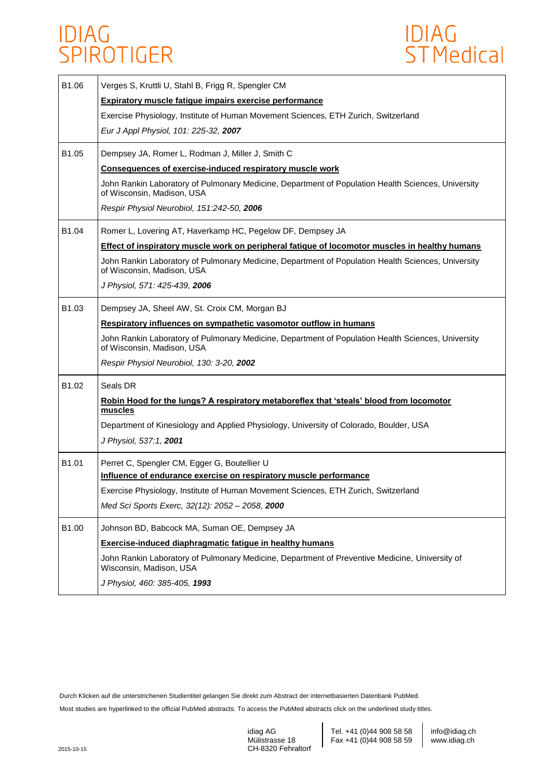

| B1.06 | Verges S, Kruttli U, Stahl B, Frigg R, Spengler CM                                                                               |
|-------|----------------------------------------------------------------------------------------------------------------------------------|
|       | <b>Expiratory muscle fatigue impairs exercise performance</b>                                                                    |
|       | Exercise Physiology, Institute of Human Movement Sciences, ETH Zurich, Switzerland                                               |
|       | Eur J Appl Physiol, 101: 225-32, 2007                                                                                            |
| B1.05 | Dempsey JA, Romer L, Rodman J, Miller J, Smith C                                                                                 |
|       | Consequences of exercise-induced respiratory muscle work                                                                         |
|       | John Rankin Laboratory of Pulmonary Medicine, Department of Population Health Sciences, University<br>of Wisconsin, Madison, USA |
|       | Respir Physiol Neurobiol, 151:242-50, 2006                                                                                       |
| B1.04 | Romer L, Lovering AT, Haverkamp HC, Pegelow DF, Dempsey JA                                                                       |
|       | <b>Effect of inspiratory muscle work on peripheral fatique of locomotor muscles in healthy humans</b>                            |
|       | John Rankin Laboratory of Pulmonary Medicine, Department of Population Health Sciences, University<br>of Wisconsin, Madison, USA |
|       | J Physiol, 571: 425-439, 2006                                                                                                    |
| B1.03 | Dempsey JA, Sheel AW, St. Croix CM, Morgan BJ                                                                                    |
|       | Respiratory influences on sympathetic vasomotor outflow in humans                                                                |
|       | John Rankin Laboratory of Pulmonary Medicine, Department of Population Health Sciences, University<br>of Wisconsin, Madison, USA |
|       | Respir Physiol Neurobiol, 130: 3-20, 2002                                                                                        |
| B1.02 | Seals DR                                                                                                                         |
|       | Robin Hood for the lungs? A respiratory metaboreflex that 'steals' blood from locomotor<br>muscles                               |
|       | Department of Kinesiology and Applied Physiology, University of Colorado, Boulder, USA                                           |
|       | J Physiol, 537:1, 2001                                                                                                           |
| B1.01 | Perret C, Spengler CM, Egger G, Boutellier U                                                                                     |
|       | Influence of endurance exercise on respiratory muscle performance                                                                |
|       | Exercise Physiology, Institute of Human Movement Sciences, ETH Zurich, Switzerland                                               |
|       | Med Sci Sports Exerc, 32(12): 2052 - 2058, 2000                                                                                  |
| B1.00 | Johnson BD, Babcock MA, Suman OE, Dempsey JA                                                                                     |
|       | <b>Exercise-induced diaphragmatic fatigue in healthy humans</b>                                                                  |
|       | John Rankin Laboratory of Pulmonary Medicine, Department of Preventive Medicine, University of<br>Wisconsin, Madison, USA        |
|       | J Physiol, 460: 385-405, 1993                                                                                                    |

Durch Klicken auf die unterstrichenen Studientitel gelangen Sie direkt zum Abstract der internetbasierten Datenbank PubMed.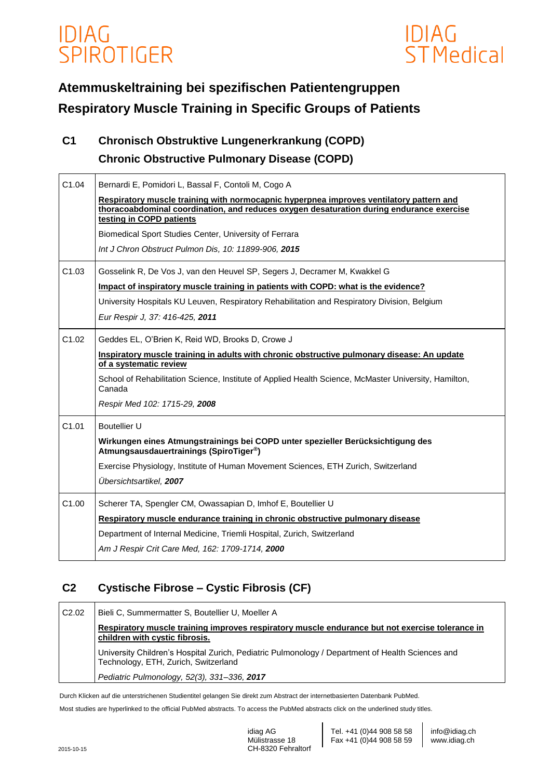

# **Atemmuskeltraining bei spezifischen Patientengruppen Respiratory Muscle Training in Specific Groups of Patients**

## **C1 Chronisch Obstruktive Lungenerkrankung (COPD) Chronic Obstructive Pulmonary Disease (COPD)**

| C1.04 | Bernardi E, Pomidori L, Bassal F, Contoli M, Cogo A<br>Respiratory muscle training with normocapnic hyperpnea improves ventilatory pattern and<br>thoracoabdominal coordination, and reduces oxygen desaturation during endurance exercise<br>testing in COPD patients<br>Biomedical Sport Studies Center, University of Ferrara<br>Int J Chron Obstruct Pulmon Dis, 10: 11899-906, 2015 |
|-------|------------------------------------------------------------------------------------------------------------------------------------------------------------------------------------------------------------------------------------------------------------------------------------------------------------------------------------------------------------------------------------------|
| C1.03 | Gosselink R, De Vos J, van den Heuvel SP, Segers J, Decramer M, Kwakkel G<br>Impact of inspiratory muscle training in patients with COPD: what is the evidence?<br>University Hospitals KU Leuven, Respiratory Rehabilitation and Respiratory Division, Belgium<br>Eur Respir J, 37: 416-425, 2011                                                                                       |
| C1.02 | Geddes EL, O'Brien K, Reid WD, Brooks D, Crowe J<br>Inspiratory muscle training in adults with chronic obstructive pulmonary disease: An update<br>of a systematic review<br>School of Rehabilitation Science, Institute of Applied Health Science, McMaster University, Hamilton,<br>Canada<br>Respir Med 102: 1715-29, 2008                                                            |
| C1.01 | <b>Boutellier U</b><br>Wirkungen eines Atmungstrainings bei COPD unter spezieller Berücksichtigung des<br>Atmungsausdauertrainings (SpiroTiger <sup>®</sup> )<br>Exercise Physiology, Institute of Human Movement Sciences, ETH Zurich, Switzerland<br>Übersichtsartikel, 2007                                                                                                           |
| C1.00 | Scherer TA, Spengler CM, Owassapian D, Imhof E, Boutellier U<br>Respiratory muscle endurance training in chronic obstructive pulmonary disease<br>Department of Internal Medicine, Triemli Hospital, Zurich, Switzerland<br>Am J Respir Crit Care Med, 162: 1709-1714, 2000                                                                                                              |

## **C2 Cystische Fibrose – Cystic Fibrosis (CF)**

| C <sub>2.02</sub> | Bieli C, Summermatter S, Boutellier U, Moeller A                                                                                         |
|-------------------|------------------------------------------------------------------------------------------------------------------------------------------|
|                   | Respiratory muscle training improves respiratory muscle endurance but not exercise tolerance in<br>children with cystic fibrosis.        |
|                   | University Children's Hospital Zurich, Pediatric Pulmonology / Department of Health Sciences and<br>Technology, ETH, Zurich, Switzerland |
|                   | Pediatric Pulmonology, 52(3), 331-336, 2017                                                                                              |

Durch Klicken auf die unterstrichenen Studientitel gelangen Sie direkt zum Abstract der internetbasierten Datenbank PubMed.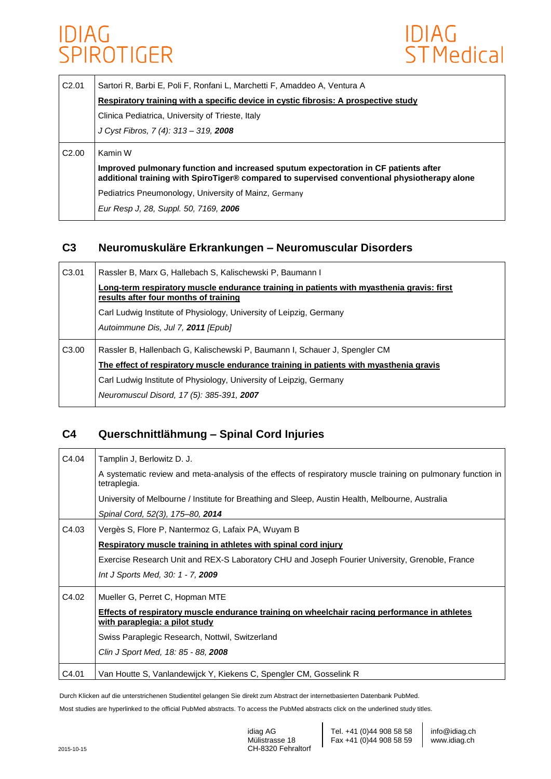

| C2.01             | Sartori R, Barbi E, Poli F, Ronfani L, Marchetti F, Amaddeo A, Ventura A                                                                                                            |
|-------------------|-------------------------------------------------------------------------------------------------------------------------------------------------------------------------------------|
|                   | Respiratory training with a specific device in cystic fibrosis: A prospective study                                                                                                 |
|                   | Clinica Pediatrica, University of Trieste, Italy                                                                                                                                    |
|                   | J Cyst Fibros, 7 (4): 313 - 319, 2008                                                                                                                                               |
| C <sub>2.00</sub> | Kamin W                                                                                                                                                                             |
|                   | Improved pulmonary function and increased sputum expectoration in CF patients after<br>additional training with SpiroTiger® compared to supervised conventional physiotherapy alone |
|                   | Pediatrics Pneumonology, University of Mainz, Germany                                                                                                                               |
|                   | Eur Resp J, 28, Suppl. 50, 7169, 2006                                                                                                                                               |

#### **C3 Neuromuskuläre Erkrankungen – Neuromuscular Disorders**

| C3.01 | Rassler B, Marx G, Hallebach S, Kalischewski P, Baumann I                                                                          |
|-------|------------------------------------------------------------------------------------------------------------------------------------|
|       | Long-term respiratory muscle endurance training in patients with myasthenia gravis: first<br>results after four months of training |
|       | Carl Ludwig Institute of Physiology, University of Leipzig, Germany                                                                |
|       | Autoimmune Dis, Jul 7, 2011 [Epub]                                                                                                 |
| C3.00 | Rassler B, Hallenbach G, Kalischewski P, Baumann I, Schauer J, Spengler CM                                                         |
|       | The effect of respiratory muscle endurance training in patients with myasthenia gravis                                             |
|       | Carl Ludwig Institute of Physiology, University of Leipzig, Germany                                                                |
|       | Neuromuscul Disord, 17 (5): 385-391, 2007                                                                                          |

### **C4 Querschnittlähmung – Spinal Cord Injuries**

| C4.04 | Tamplin J, Berlowitz D. J.                                                                                                      |
|-------|---------------------------------------------------------------------------------------------------------------------------------|
|       | A systematic review and meta-analysis of the effects of respiratory muscle training on pulmonary function in<br>tetraplegia.    |
|       | University of Melbourne / Institute for Breathing and Sleep, Austin Health, Melbourne, Australia                                |
|       | Spinal Cord, 52(3), 175-80, 2014                                                                                                |
| C4.03 | Vergès S, Flore P, Nantermoz G, Lafaix PA, Wuyam B                                                                              |
|       | Respiratory muscle training in athletes with spinal cord injury                                                                 |
|       | Exercise Research Unit and REX-S Laboratory CHU and Joseph Fourier University, Grenoble, France                                 |
|       | Int J Sports Med, 30: 1 - 7, 2009                                                                                               |
| C4.02 | Mueller G, Perret C, Hopman MTE                                                                                                 |
|       | Effects of respiratory muscle endurance training on wheelchair racing performance in athletes<br>with paraplegia: a pilot study |
|       | Swiss Paraplegic Research, Nottwil, Switzerland                                                                                 |
|       | Clin J Sport Med, 18: 85 - 88, 2008                                                                                             |
| C4.01 | Van Houtte S, Vanlandewijck Y, Kiekens C, Spengler CM, Gosselink R                                                              |

Durch Klicken auf die unterstrichenen Studientitel gelangen Sie direkt zum Abstract der internetbasierten Datenbank PubMed.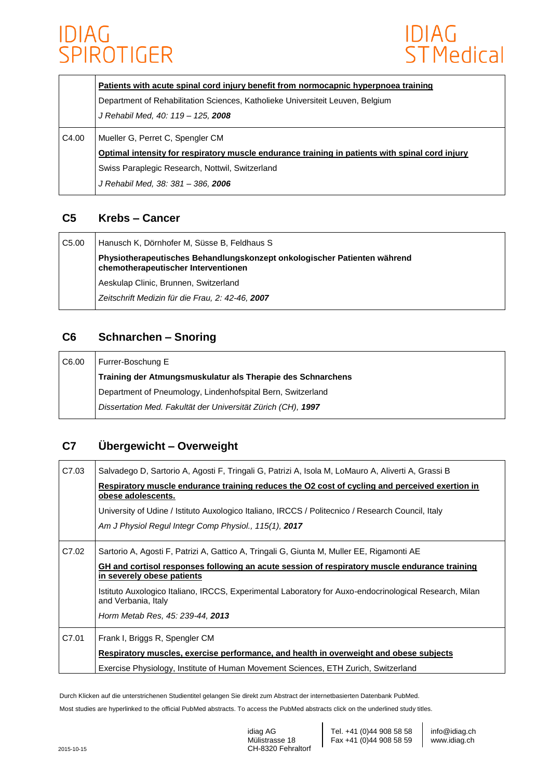

|       | Patients with acute spinal cord injury benefit from normocapnic hyperpnoea training             |
|-------|-------------------------------------------------------------------------------------------------|
|       | Department of Rehabilitation Sciences, Katholieke Universiteit Leuven, Belgium                  |
|       | J Rehabil Med, 40: 119 - 125, 2008                                                              |
| C4.00 | Mueller G, Perret C, Spengler CM                                                                |
|       | Optimal intensity for respiratory muscle endurance training in patients with spinal cord injury |
|       | Swiss Paraplegic Research, Nottwil, Switzerland                                                 |
|       | J Rehabil Med, 38: 381 - 386, 2006                                                              |

### **C5 Krebs – Cancer**

| C5.00 | Hanusch K, Dörnhofer M, Süsse B, Feldhaus S                                                                     |
|-------|-----------------------------------------------------------------------------------------------------------------|
|       | Physiotherapeutisches Behandlungskonzept onkologischer Patienten während<br>chemotherapeutischer Interventionen |
|       | Aeskulap Clinic, Brunnen, Switzerland                                                                           |
|       | Zeitschrift Medizin für die Frau. 2: 42-46. 2007                                                                |

### **C6 Schnarchen – Snoring**

| C6.00 | Furrer-Boschung E                                            |
|-------|--------------------------------------------------------------|
|       | Training der Atmungsmuskulatur als Therapie des Schnarchens  |
|       | Department of Pneumology, Lindenhofspital Bern, Switzerland  |
|       | Dissertation Med. Fakultät der Universität Zürich (CH), 1997 |

### **C7 Übergewicht – Overweight**

| C7.03 | Salvadego D, Sartorio A, Agosti F, Tringali G, Patrizi A, Isola M, LoMauro A, Aliverti A, Grassi B<br>Respiratory muscle endurance training reduces the O2 cost of cycling and perceived exertion in<br>obese adolescents.<br>University of Udine / Istituto Auxologico Italiano, IRCCS / Politecnico / Research Council, Italy<br>Am J Physiol Regul Integr Comp Physiol., 115(1), 2017      |
|-------|-----------------------------------------------------------------------------------------------------------------------------------------------------------------------------------------------------------------------------------------------------------------------------------------------------------------------------------------------------------------------------------------------|
| C7.02 | Sartorio A, Agosti F, Patrizi A, Gattico A, Tringali G, Giunta M, Muller EE, Rigamonti AE<br>GH and cortisol responses following an acute session of respiratory muscle endurance training<br>in severely obese patients<br>Istituto Auxologico Italiano, IRCCS, Experimental Laboratory for Auxo-endocrinological Research, Milan<br>and Verbania, Italy<br>Horm Metab Res, 45: 239-44, 2013 |
| C7.01 | Frank I, Briggs R, Spengler CM<br>Respiratory muscles, exercise performance, and health in overweight and obese subjects<br>Exercise Physiology, Institute of Human Movement Sciences, ETH Zurich, Switzerland                                                                                                                                                                                |

Durch Klicken auf die unterstrichenen Studientitel gelangen Sie direkt zum Abstract der internetbasierten Datenbank PubMed.